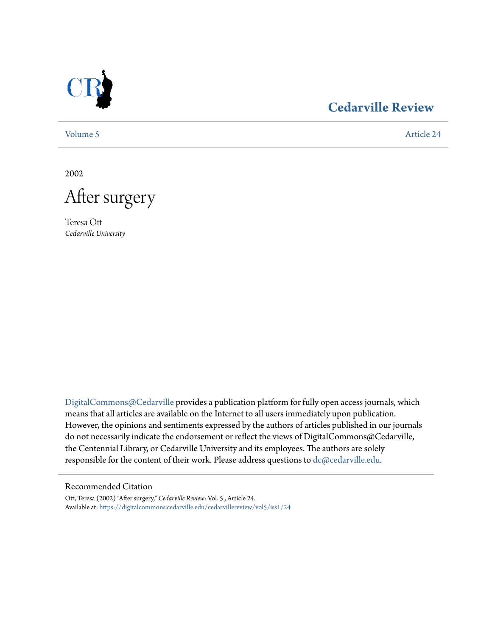

## **[Cedarville Review](https://digitalcommons.cedarville.edu/cedarvillereview?utm_source=digitalcommons.cedarville.edu%2Fcedarvillereview%2Fvol5%2Fiss1%2F24&utm_medium=PDF&utm_campaign=PDFCoverPages)**

[Volume 5](https://digitalcommons.cedarville.edu/cedarvillereview/vol5?utm_source=digitalcommons.cedarville.edu%2Fcedarvillereview%2Fvol5%2Fiss1%2F24&utm_medium=PDF&utm_campaign=PDFCoverPages) [Article 24](https://digitalcommons.cedarville.edu/cedarvillereview/vol5/iss1/24?utm_source=digitalcommons.cedarville.edu%2Fcedarvillereview%2Fvol5%2Fiss1%2F24&utm_medium=PDF&utm_campaign=PDFCoverPages)

2002



Teresa Ott *Cedarville University*

[DigitalCommons@Cedarville](http://digitalcommons.cedarville.edu) provides a publication platform for fully open access journals, which means that all articles are available on the Internet to all users immediately upon publication. However, the opinions and sentiments expressed by the authors of articles published in our journals do not necessarily indicate the endorsement or reflect the views of DigitalCommons@Cedarville, the Centennial Library, or Cedarville University and its employees. The authors are solely responsible for the content of their work. Please address questions to [dc@cedarville.edu](mailto:dc@cedarville.edu).

#### Recommended Citation

Ott, Teresa (2002) "After surgery," *Cedarville Review*: Vol. 5 , Article 24. Available at: [https://digitalcommons.cedarville.edu/cedarvillereview/vol5/iss1/24](https://digitalcommons.cedarville.edu/cedarvillereview/vol5/iss1/24?utm_source=digitalcommons.cedarville.edu%2Fcedarvillereview%2Fvol5%2Fiss1%2F24&utm_medium=PDF&utm_campaign=PDFCoverPages)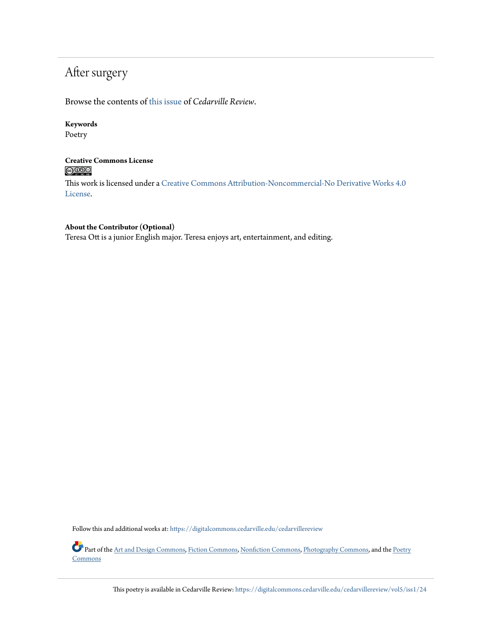# After surgery

Browse the contents of [this issue](https://digitalcommons.cedarville.edu/cedarvillereview/vol5/iss1) of *Cedarville Review*.

#### **Keywords**

Poetry

#### **Creative Commons License**  $\bigcirc$   $\circ$

This work is licensed under a [Creative Commons Attribution-Noncommercial-No Derivative Works 4.0](http://creativecommons.org/licenses/by-nc-nd/4.0/) [License.](http://creativecommons.org/licenses/by-nc-nd/4.0/)

#### **About the Contributor (Optional)**

Teresa Ott is a junior English major. Teresa enjoys art, entertainment, and editing.

Follow this and additional works at: [https://digitalcommons.cedarville.edu/cedarvillereview](https://digitalcommons.cedarville.edu/cedarvillereview?utm_source=digitalcommons.cedarville.edu%2Fcedarvillereview%2Fvol5%2Fiss1%2F24&utm_medium=PDF&utm_campaign=PDFCoverPages)

Part of the [Art and Design Commons,](http://network.bepress.com/hgg/discipline/1049?utm_source=digitalcommons.cedarville.edu%2Fcedarvillereview%2Fvol5%2Fiss1%2F24&utm_medium=PDF&utm_campaign=PDFCoverPages) [Fiction Commons,](http://network.bepress.com/hgg/discipline/1151?utm_source=digitalcommons.cedarville.edu%2Fcedarvillereview%2Fvol5%2Fiss1%2F24&utm_medium=PDF&utm_campaign=PDFCoverPages) [Nonfiction Commons,](http://network.bepress.com/hgg/discipline/1152?utm_source=digitalcommons.cedarville.edu%2Fcedarvillereview%2Fvol5%2Fiss1%2F24&utm_medium=PDF&utm_campaign=PDFCoverPages) [Photography Commons,](http://network.bepress.com/hgg/discipline/1142?utm_source=digitalcommons.cedarville.edu%2Fcedarvillereview%2Fvol5%2Fiss1%2F24&utm_medium=PDF&utm_campaign=PDFCoverPages) and the [Poetry](http://network.bepress.com/hgg/discipline/1153?utm_source=digitalcommons.cedarville.edu%2Fcedarvillereview%2Fvol5%2Fiss1%2F24&utm_medium=PDF&utm_campaign=PDFCoverPages) [Commons](http://network.bepress.com/hgg/discipline/1153?utm_source=digitalcommons.cedarville.edu%2Fcedarvillereview%2Fvol5%2Fiss1%2F24&utm_medium=PDF&utm_campaign=PDFCoverPages)

This poetry is available in Cedarville Review: [https://digitalcommons.cedarville.edu/cedarvillereview/vol5/iss1/24](https://digitalcommons.cedarville.edu/cedarvillereview/vol5/iss1/24?utm_source=digitalcommons.cedarville.edu%2Fcedarvillereview%2Fvol5%2Fiss1%2F24&utm_medium=PDF&utm_campaign=PDFCoverPages)